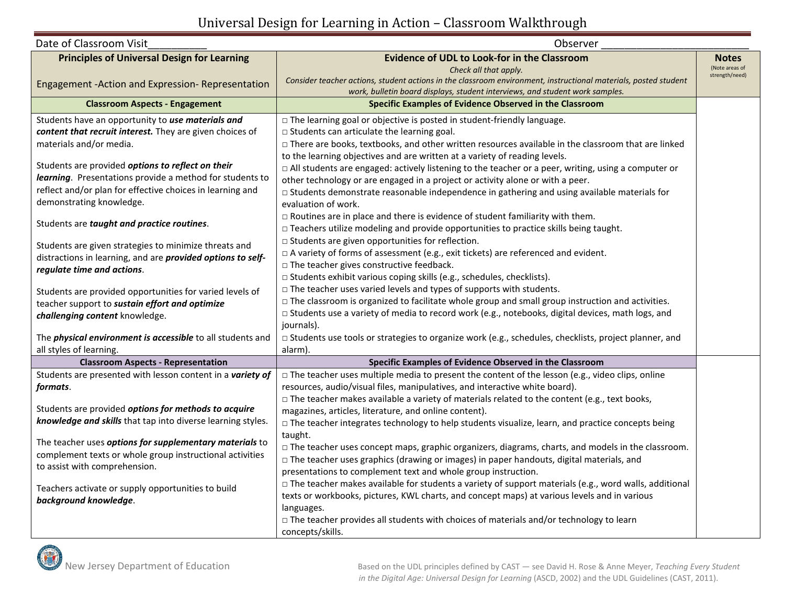## Universal Design for Learning in Action – Classroom Walkthrough

| Date of Classroom Visit<br>Observer                                                                                                                                                                                                                                                                                    |                                                                                                                                                                                                                                                                                                                                                                                                                                                                                                                |                                  |
|------------------------------------------------------------------------------------------------------------------------------------------------------------------------------------------------------------------------------------------------------------------------------------------------------------------------|----------------------------------------------------------------------------------------------------------------------------------------------------------------------------------------------------------------------------------------------------------------------------------------------------------------------------------------------------------------------------------------------------------------------------------------------------------------------------------------------------------------|----------------------------------|
| <b>Principles of Universal Design for Learning</b>                                                                                                                                                                                                                                                                     | <b>Evidence of UDL to Look-for in the Classroom</b>                                                                                                                                                                                                                                                                                                                                                                                                                                                            | <b>Notes</b>                     |
| Engagement - Action and Expression- Representation                                                                                                                                                                                                                                                                     | Check all that apply.<br>Consider teacher actions, student actions in the classroom environment, instructional materials, posted student<br>work, bulletin board displays, student interviews, and student work samples.                                                                                                                                                                                                                                                                                       | (Note areas of<br>strength/need) |
| <b>Classroom Aspects - Engagement</b>                                                                                                                                                                                                                                                                                  | Specific Examples of Evidence Observed in the Classroom                                                                                                                                                                                                                                                                                                                                                                                                                                                        |                                  |
| Students have an opportunity to use materials and<br>content that recruit interest. They are given choices of<br>materials and/or media.<br>Students are provided options to reflect on their<br>learning. Presentations provide a method for students to<br>reflect and/or plan for effective choices in learning and | □ The learning goal or objective is posted in student-friendly language.<br>$\Box$ Students can articulate the learning goal.<br>□ There are books, textbooks, and other written resources available in the classroom that are linked<br>to the learning objectives and are written at a variety of reading levels.<br>□ All students are engaged: actively listening to the teacher or a peer, writing, using a computer or<br>other technology or are engaged in a project or activity alone or with a peer. |                                  |
| demonstrating knowledge.                                                                                                                                                                                                                                                                                               | □ Students demonstrate reasonable independence in gathering and using available materials for<br>evaluation of work.                                                                                                                                                                                                                                                                                                                                                                                           |                                  |
| Students are taught and practice routines.<br>Students are given strategies to minimize threats and                                                                                                                                                                                                                    | $\Box$ Routines are in place and there is evidence of student familiarity with them.<br>□ Teachers utilize modeling and provide opportunities to practice skills being taught.<br>□ Students are given opportunities for reflection.                                                                                                                                                                                                                                                                           |                                  |
| distractions in learning, and are provided options to self-<br>regulate time and actions.                                                                                                                                                                                                                              | $\Box$ A variety of forms of assessment (e.g., exit tickets) are referenced and evident.<br>$\Box$ The teacher gives constructive feedback.<br>$\Box$ Students exhibit various coping skills (e.g., schedules, checklists).                                                                                                                                                                                                                                                                                    |                                  |
| Students are provided opportunities for varied levels of<br>teacher support to sustain effort and optimize<br>challenging content knowledge.                                                                                                                                                                           | $\Box$ The teacher uses varied levels and types of supports with students.<br>$\Box$ The classroom is organized to facilitate whole group and small group instruction and activities.<br>□ Students use a variety of media to record work (e.g., notebooks, digital devices, math logs, and<br>journals).                                                                                                                                                                                                      |                                  |
| The <i>physical environment is accessible</i> to all students and<br>all styles of learning.                                                                                                                                                                                                                           | □ Students use tools or strategies to organize work (e.g., schedules, checklists, project planner, and<br>alarm).                                                                                                                                                                                                                                                                                                                                                                                              |                                  |
| <b>Classroom Aspects - Representation</b>                                                                                                                                                                                                                                                                              | Specific Examples of Evidence Observed in the Classroom                                                                                                                                                                                                                                                                                                                                                                                                                                                        |                                  |
| Students are presented with lesson content in a variety of<br>formats.                                                                                                                                                                                                                                                 | $\Box$ The teacher uses multiple media to present the content of the lesson (e.g., video clips, online<br>resources, audio/visual files, manipulatives, and interactive white board).<br>$\Box$ The teacher makes available a variety of materials related to the content (e.g., text books,                                                                                                                                                                                                                   |                                  |
| Students are provided options for methods to acquire<br>knowledge and skills that tap into diverse learning styles.                                                                                                                                                                                                    | magazines, articles, literature, and online content).<br>□ The teacher integrates technology to help students visualize, learn, and practice concepts being                                                                                                                                                                                                                                                                                                                                                    |                                  |
| The teacher uses options for supplementary materials to<br>complement texts or whole group instructional activities<br>to assist with comprehension.                                                                                                                                                                   | taught.<br>$\Box$ The teacher uses concept maps, graphic organizers, diagrams, charts, and models in the classroom.<br>$\Box$ The teacher uses graphics (drawing or images) in paper handouts, digital materials, and<br>presentations to complement text and whole group instruction.                                                                                                                                                                                                                         |                                  |
| Teachers activate or supply opportunities to build<br>background knowledge.                                                                                                                                                                                                                                            | $\Box$ The teacher makes available for students a variety of support materials (e.g., word walls, additional<br>texts or workbooks, pictures, KWL charts, and concept maps) at various levels and in various<br>languages.<br>$\Box$ The teacher provides all students with choices of materials and/or technology to learn                                                                                                                                                                                    |                                  |
|                                                                                                                                                                                                                                                                                                                        | concepts/skills.                                                                                                                                                                                                                                                                                                                                                                                                                                                                                               |                                  |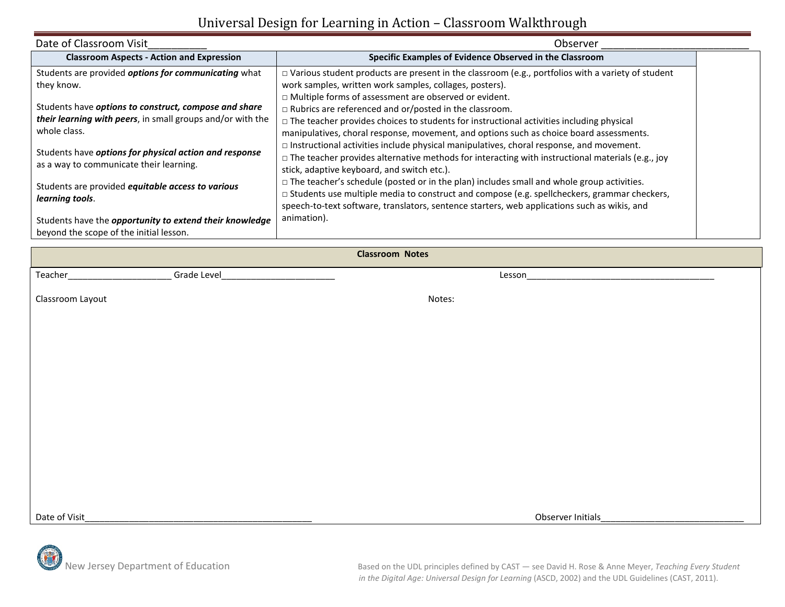## Universal Design for Learning in Action – Classroom Walkthrough

| Date of Classroom Visit                                                                                                             | Observer                                                                                                                                                                                                                                                                                                               |  |  |
|-------------------------------------------------------------------------------------------------------------------------------------|------------------------------------------------------------------------------------------------------------------------------------------------------------------------------------------------------------------------------------------------------------------------------------------------------------------------|--|--|
| <b>Classroom Aspects - Action and Expression</b>                                                                                    | Specific Examples of Evidence Observed in the Classroom                                                                                                                                                                                                                                                                |  |  |
| Students are provided options for communicating what                                                                                | $\Box$ Various student products are present in the classroom (e.g., portfolios with a variety of student                                                                                                                                                                                                               |  |  |
| they know.                                                                                                                          | work samples, written work samples, collages, posters).                                                                                                                                                                                                                                                                |  |  |
| Students have options to construct, compose and share<br>their learning with peers, in small groups and/or with the<br>whole class. | □ Multiple forms of assessment are observed or evident.<br>$\Box$ Rubrics are referenced and or/posted in the classroom.<br>$\Box$ The teacher provides choices to students for instructional activities including physical<br>manipulatives, choral response, movement, and options such as choice board assessments. |  |  |
| Students have options for physical action and response<br>as a way to communicate their learning.                                   | $\Box$ Instructional activities include physical manipulatives, choral response, and movement.<br>$\Box$ The teacher provides alternative methods for interacting with instructional materials (e.g., joy<br>stick, adaptive keyboard, and switch etc.).                                                               |  |  |
| Students are provided equitable access to various<br>learning tools.                                                                | $\Box$ The teacher's schedule (posted or in the plan) includes small and whole group activities.<br>□ Students use multiple media to construct and compose (e.g. spellcheckers, grammar checkers,<br>speech-to-text software, translators, sentence starters, web applications such as wikis, and                      |  |  |
| Students have the opportunity to extend their knowledge<br>beyond the scope of the initial lesson.                                  | animation).                                                                                                                                                                                                                                                                                                            |  |  |
| <b>Classroom Notes</b>                                                                                                              |                                                                                                                                                                                                                                                                                                                        |  |  |

|                  | _________________ |        |
|------------------|-------------------|--------|
| Teacher_         | Grade Level       | Lesson |
| Classroom Layout |                   | Notes: |
|                  |                   |        |
|                  |                   |        |
|                  |                   |        |

Date of Visit\_\_\_\_\_\_\_\_\_\_\_\_\_\_\_\_\_\_\_\_\_\_\_\_\_\_\_\_\_\_\_\_\_\_\_\_\_\_\_\_\_\_\_\_\_\_ Observer Initials\_\_\_\_\_\_\_\_\_\_\_\_\_\_\_\_\_\_\_\_\_\_\_\_\_\_\_\_\_



New Jersey Department of Education Based on the UDL principles defined by CAST — see David H. Rose & Anne Meyer, *Teaching Every Student in the Digital Age: Universal Design for Learning (ASCD, 2002) and the UDL Guidelines (CAST, 2011).*